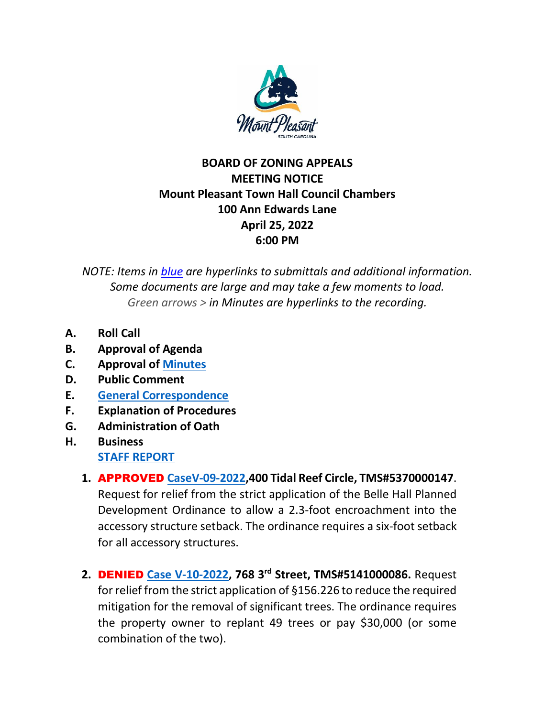

## **BOARD OF ZONING APPEALS MEETING NOTICE Mount Pleasant Town Hall Council Chambers 100 Ann Edwards Lane April 25, 2022 6:00 PM**

*NOTE: Items in blue are hyperlinks to submittals and additional information. Some documents are large and may take a few moments to load. Green arrows > in Minutes are hyperlinks to the recording.*

- **A. Roll Call**
- **B. Approval of Agenda**
- **C. Approval of [Minutes](https://www.tompsc.com/AgendaCenter/ViewFile/Minutes/_03282022-1169)**
- **D. Public Comment**
- **E. [General Correspondence](https://www.tompsc.com/DocumentCenter/View/41298/Horton-Response_-V-10-2022-Correspondence-)**
- **F. Explanation of Procedures**
- **G. Administration of Oath**
- **H. Business [STAFF REPORT](https://www.tompsc.com/DocumentCenter/View/40707/BOZA-Staff-Report-4252022)**
	- **1.** APPROVED **[CaseV-09-2022,](https://www.tompsc.com/DocumentCenter/View/41224/V-09-22-400-Tidal-Reef-Circle-5370000147-42522)400 Tidal Reef Circle, TMS#5370000147**. Request for relief from the strict application of the Belle Hall Planned Development Ordinance to allow a 2.3-foot encroachment into the accessory structure setback. The ordinance requires a six-foot setback for all accessory structures.
	- **2.** DENIED **[Case V-10-2022,](https://www.tompsc.com/DocumentCenter/View/41225/V-10-22-768-3rd-St-5141000086-42522) 768 3 rd Street, TMS#5141000086.** Request for relief from the strict application of §156.226 to reduce the required mitigation for the removal of significant trees. The ordinance requires the property owner to replant 49 trees or pay \$30,000 (or some combination of the two).